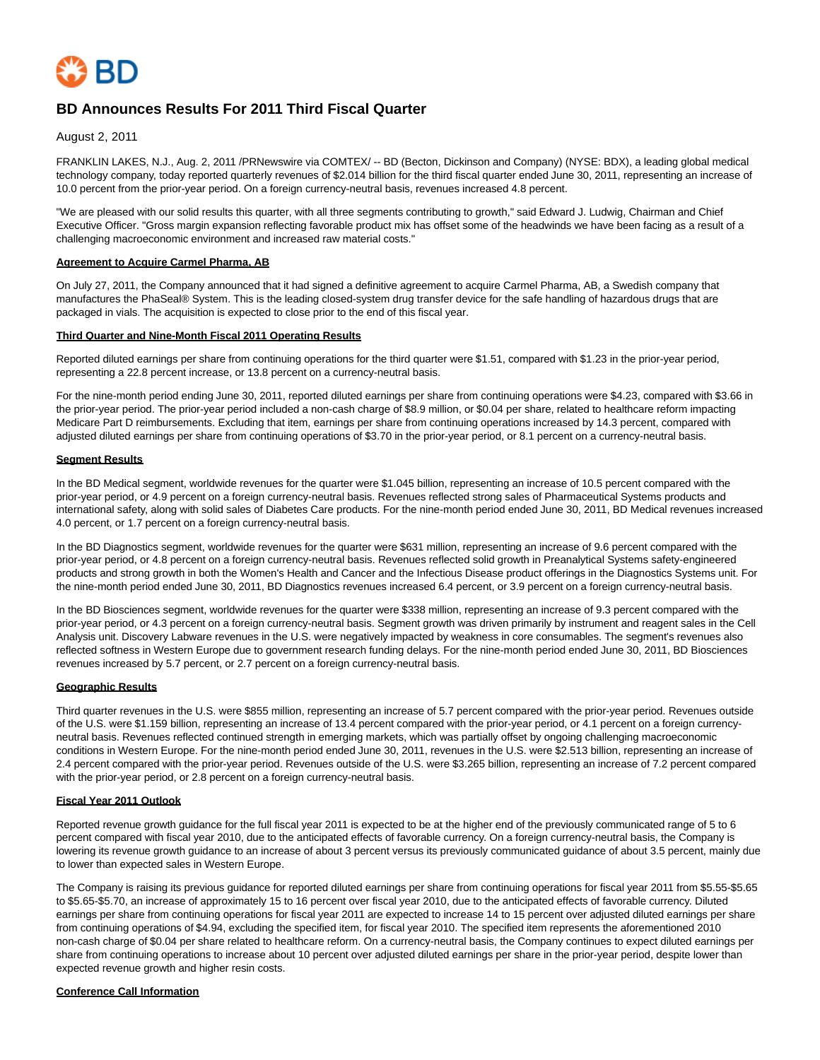

# **BD Announces Results For 2011 Third Fiscal Quarter**

August 2, 2011

FRANKLIN LAKES, N.J., Aug. 2, 2011 /PRNewswire via COMTEX/ -- BD (Becton, Dickinson and Company) (NYSE: BDX), a leading global medical technology company, today reported quarterly revenues of \$2.014 billion for the third fiscal quarter ended June 30, 2011, representing an increase of 10.0 percent from the prior-year period. On a foreign currency-neutral basis, revenues increased 4.8 percent.

"We are pleased with our solid results this quarter, with all three segments contributing to growth," said Edward J. Ludwig, Chairman and Chief Executive Officer. "Gross margin expansion reflecting favorable product mix has offset some of the headwinds we have been facing as a result of a challenging macroeconomic environment and increased raw material costs."

### **Agreement to Acquire Carmel Pharma, AB**

On July 27, 2011, the Company announced that it had signed a definitive agreement to acquire Carmel Pharma, AB, a Swedish company that manufactures the PhaSeal® System. This is the leading closed-system drug transfer device for the safe handling of hazardous drugs that are packaged in vials. The acquisition is expected to close prior to the end of this fiscal year.

#### **Third Quarter and Nine-Month Fiscal 2011 Operating Results**

Reported diluted earnings per share from continuing operations for the third quarter were \$1.51, compared with \$1.23 in the prior-year period, representing a 22.8 percent increase, or 13.8 percent on a currency-neutral basis.

For the nine-month period ending June 30, 2011, reported diluted earnings per share from continuing operations were \$4.23, compared with \$3.66 in the prior-year period. The prior-year period included a non-cash charge of \$8.9 million, or \$0.04 per share, related to healthcare reform impacting Medicare Part D reimbursements. Excluding that item, earnings per share from continuing operations increased by 14.3 percent, compared with adjusted diluted earnings per share from continuing operations of \$3.70 in the prior-year period, or 8.1 percent on a currency-neutral basis.

#### **Segment Results**

In the BD Medical segment, worldwide revenues for the quarter were \$1.045 billion, representing an increase of 10.5 percent compared with the prior-year period, or 4.9 percent on a foreign currency-neutral basis. Revenues reflected strong sales of Pharmaceutical Systems products and international safety, along with solid sales of Diabetes Care products. For the nine-month period ended June 30, 2011, BD Medical revenues increased 4.0 percent, or 1.7 percent on a foreign currency-neutral basis.

In the BD Diagnostics segment, worldwide revenues for the quarter were \$631 million, representing an increase of 9.6 percent compared with the prior-year period, or 4.8 percent on a foreign currency-neutral basis. Revenues reflected solid growth in Preanalytical Systems safety-engineered products and strong growth in both the Women's Health and Cancer and the Infectious Disease product offerings in the Diagnostics Systems unit. For the nine-month period ended June 30, 2011, BD Diagnostics revenues increased 6.4 percent, or 3.9 percent on a foreign currency-neutral basis.

In the BD Biosciences segment, worldwide revenues for the quarter were \$338 million, representing an increase of 9.3 percent compared with the prior-year period, or 4.3 percent on a foreign currency-neutral basis. Segment growth was driven primarily by instrument and reagent sales in the Cell Analysis unit. Discovery Labware revenues in the U.S. were negatively impacted by weakness in core consumables. The segment's revenues also reflected softness in Western Europe due to government research funding delays. For the nine-month period ended June 30, 2011, BD Biosciences revenues increased by 5.7 percent, or 2.7 percent on a foreign currency-neutral basis.

## **Geographic Results**

Third quarter revenues in the U.S. were \$855 million, representing an increase of 5.7 percent compared with the prior-year period. Revenues outside of the U.S. were \$1.159 billion, representing an increase of 13.4 percent compared with the prior-year period, or 4.1 percent on a foreign currencyneutral basis. Revenues reflected continued strength in emerging markets, which was partially offset by ongoing challenging macroeconomic conditions in Western Europe. For the nine-month period ended June 30, 2011, revenues in the U.S. were \$2.513 billion, representing an increase of 2.4 percent compared with the prior-year period. Revenues outside of the U.S. were \$3.265 billion, representing an increase of 7.2 percent compared with the prior-year period, or 2.8 percent on a foreign currency-neutral basis.

#### **Fiscal Year 2011 Outlook**

Reported revenue growth guidance for the full fiscal year 2011 is expected to be at the higher end of the previously communicated range of 5 to 6 percent compared with fiscal year 2010, due to the anticipated effects of favorable currency. On a foreign currency-neutral basis, the Company is lowering its revenue growth guidance to an increase of about 3 percent versus its previously communicated guidance of about 3.5 percent, mainly due to lower than expected sales in Western Europe.

The Company is raising its previous guidance for reported diluted earnings per share from continuing operations for fiscal year 2011 from \$5.55-\$5.65 to \$5.65-\$5.70, an increase of approximately 15 to 16 percent over fiscal year 2010, due to the anticipated effects of favorable currency. Diluted earnings per share from continuing operations for fiscal year 2011 are expected to increase 14 to 15 percent over adjusted diluted earnings per share from continuing operations of \$4.94, excluding the specified item, for fiscal year 2010. The specified item represents the aforementioned 2010 non-cash charge of \$0.04 per share related to healthcare reform. On a currency-neutral basis, the Company continues to expect diluted earnings per share from continuing operations to increase about 10 percent over adjusted diluted earnings per share in the prior-year period, despite lower than expected revenue growth and higher resin costs.

## **Conference Call Information**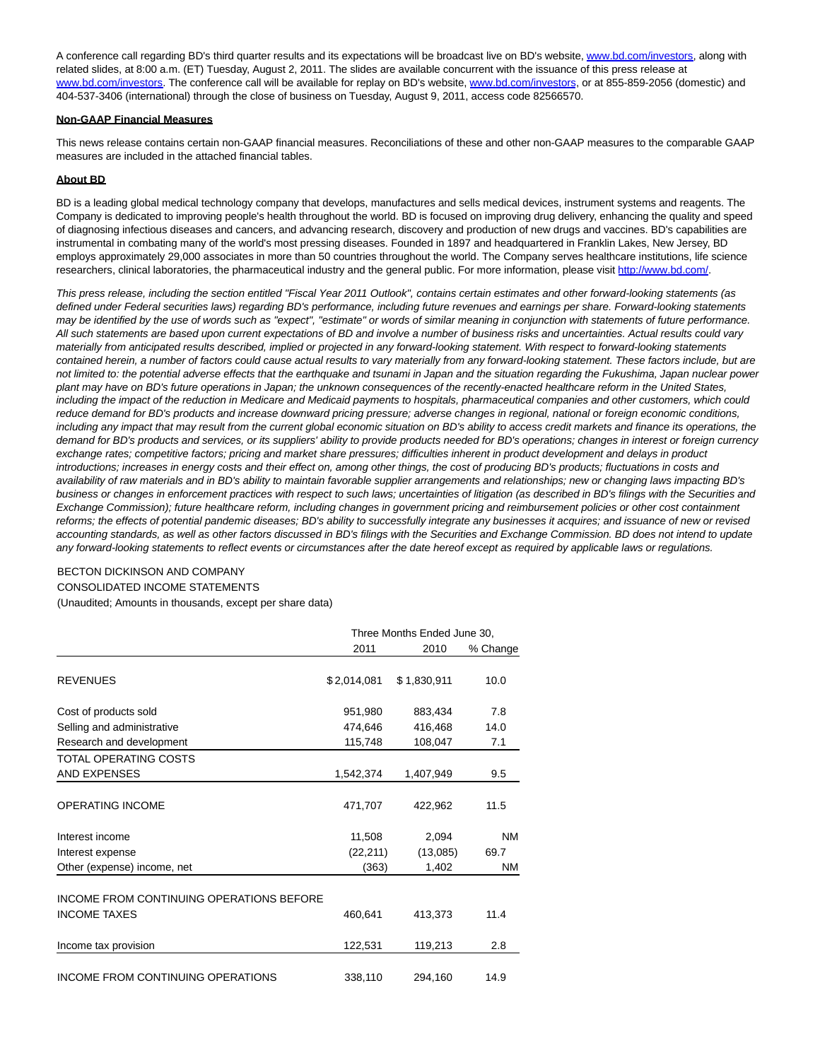A conference call regarding BD's third quarter results and its expectations will be broadcast live on BD's website[, www.bd.com/investors,](http://www.bd.com/investors) along with related slides, at 8:00 a.m. (ET) Tuesday, August 2, 2011. The slides are available concurrent with the issuance of this press release at [www.bd.com/investors.](http://www.bd.com/investors) The conference call will be available for replay on BD's website, [www.bd.com/investors,](http://www.bd.com/investors) or at 855-859-2056 (domestic) and 404-537-3406 (international) through the close of business on Tuesday, August 9, 2011, access code 82566570.

#### **Non-GAAP Financial Measures**

This news release contains certain non-GAAP financial measures. Reconciliations of these and other non-GAAP measures to the comparable GAAP measures are included in the attached financial tables.

## **About BD**

BD is a leading global medical technology company that develops, manufactures and sells medical devices, instrument systems and reagents. The Company is dedicated to improving people's health throughout the world. BD is focused on improving drug delivery, enhancing the quality and speed of diagnosing infectious diseases and cancers, and advancing research, discovery and production of new drugs and vaccines. BD's capabilities are instrumental in combating many of the world's most pressing diseases. Founded in 1897 and headquartered in Franklin Lakes, New Jersey, BD employs approximately 29,000 associates in more than 50 countries throughout the world. The Company serves healthcare institutions, life science researchers, clinical laboratories, the pharmaceutical industry and the general public. For more information, please visit [http://www.bd.com/.](http://www.bd.com/)

This press release, including the section entitled "Fiscal Year 2011 Outlook", contains certain estimates and other forward-looking statements (as defined under Federal securities laws) regarding BD's performance, including future revenues and earnings per share. Forward-looking statements may be identified by the use of words such as "expect", "estimate" or words of similar meaning in conjunction with statements of future performance. All such statements are based upon current expectations of BD and involve a number of business risks and uncertainties. Actual results could vary materially from anticipated results described, implied or projected in any forward-looking statement. With respect to forward-looking statements contained herein, a number of factors could cause actual results to vary materially from any forward-looking statement. These factors include, but are not limited to: the potential adverse effects that the earthquake and tsunami in Japan and the situation regarding the Fukushima, Japan nuclear power plant may have on BD's future operations in Japan; the unknown consequences of the recently-enacted healthcare reform in the United States, including the impact of the reduction in Medicare and Medicaid payments to hospitals, pharmaceutical companies and other customers, which could reduce demand for BD's products and increase downward pricing pressure; adverse changes in regional, national or foreign economic conditions, including any impact that may result from the current global economic situation on BD's ability to access credit markets and finance its operations, the demand for BD's products and services, or its suppliers' ability to provide products needed for BD's operations; changes in interest or foreign currency exchange rates; competitive factors; pricing and market share pressures; difficulties inherent in product development and delays in product introductions; increases in energy costs and their effect on, among other things, the cost of producing BD's products; fluctuations in costs and availability of raw materials and in BD's ability to maintain favorable supplier arrangements and relationships; new or changing laws impacting BD's business or changes in enforcement practices with respect to such laws; uncertainties of litigation (as described in BD's filings with the Securities and Exchange Commission); future healthcare reform, including changes in government pricing and reimbursement policies or other cost containment reforms; the effects of potential pandemic diseases; BD's ability to successfully integrate any businesses it acquires; and issuance of new or revised accounting standards, as well as other factors discussed in BD's filings with the Securities and Exchange Commission. BD does not intend to update any forward-looking statements to reflect events or circumstances after the date hereof except as required by applicable laws or regulations.

# BECTON DICKINSON AND COMPANY

CONSOLIDATED INCOME STATEMENTS

(Unaudited; Amounts in thousands, except per share data)

|                                          | Three Months Ended June 30, |             |          |  |  |
|------------------------------------------|-----------------------------|-------------|----------|--|--|
|                                          | 2011                        | 2010        | % Change |  |  |
| <b>REVENUES</b>                          | \$2,014,081                 | \$1,830,911 | 10.0     |  |  |
| Cost of products sold                    | 951,980                     | 883,434     | 7.8      |  |  |
| Selling and administrative               | 474.646                     | 416.468     | 14.0     |  |  |
| Research and development                 | 115,748                     | 108,047     | 7.1      |  |  |
| TOTAL OPERATING COSTS                    |                             |             |          |  |  |
| AND EXPENSES                             | 1,542,374                   | 1,407,949   | 9.5      |  |  |
| <b>OPERATING INCOME</b>                  | 471,707                     | 422,962     | 11.5     |  |  |
| Interest income                          | 11,508                      | 2,094       | NM       |  |  |
| Interest expense                         | (22, 211)                   | (13,085)    | 69.7     |  |  |
| Other (expense) income, net              | (363)                       | 1,402       | NM       |  |  |
| INCOME FROM CONTINUING OPERATIONS BEFORE |                             |             |          |  |  |
| <b>INCOME TAXES</b>                      | 460,641                     | 413,373     | 11.4     |  |  |
| Income tax provision                     | 122,531                     | 119,213     | 2.8      |  |  |
| INCOME FROM CONTINUING OPERATIONS        | 338,110                     | 294,160     | 14.9     |  |  |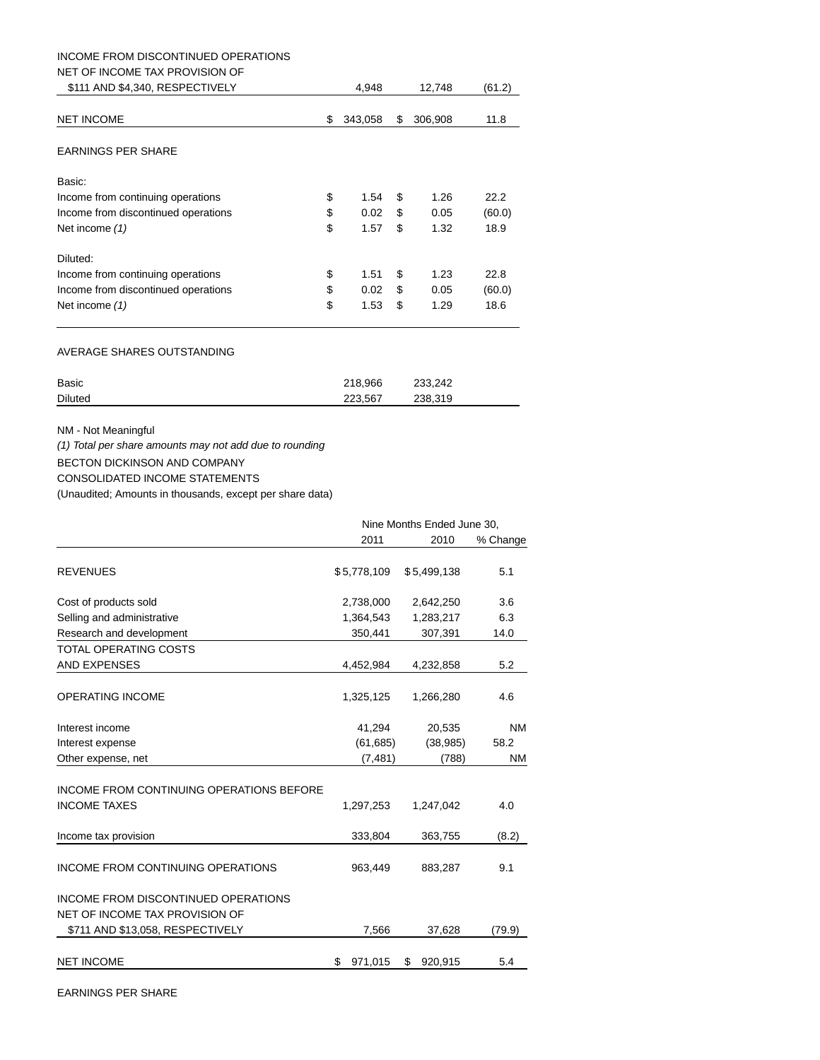# INCOME FROM DISCONTINUED OPERATIONS

## NET OF INCOME TAX PROVISION OF

| \$111 AND \$4,340, RESPECTIVELY     | 4.948         |     | 12,748  | (61.2) |
|-------------------------------------|---------------|-----|---------|--------|
| <b>NET INCOME</b>                   | \$<br>343,058 | S   | 306,908 | 11.8   |
| <b>EARNINGS PER SHARE</b>           |               |     |         |        |
| Basic:                              |               |     |         |        |
| Income from continuing operations   | \$<br>1.54    | S   | 1.26    | 22.2   |
| Income from discontinued operations | \$<br>0.02    | \$. | 0.05    | (60.0) |
| Net income (1)                      | \$<br>1.57    | \$  | 1.32    | 18.9   |
| Diluted:                            |               |     |         |        |
| Income from continuing operations   | \$<br>1.51    | \$  | 1.23    | 22.8   |
| Income from discontinued operations | \$<br>0.02    | \$  | 0.05    | (60.0) |
| Net income (1)                      | \$<br>1.53    | \$  | 1.29    | 18.6   |
|                                     |               |     |         |        |

## AVERAGE SHARES OUTSTANDING

| Basic          | 218.966 | 233,242 |
|----------------|---------|---------|
| <b>Diluted</b> | 223.567 | 238,319 |

# NM - Not Meaningful

(1) Total per share amounts may not add due to rounding

BECTON DICKINSON AND COMPANY

CONSOLIDATED INCOME STATEMENTS

(Unaudited; Amounts in thousands, except per share data)

|                                                                       | Nine Months Ended June 30, |               |           |  |  |
|-----------------------------------------------------------------------|----------------------------|---------------|-----------|--|--|
|                                                                       | 2011                       | 2010          | % Change  |  |  |
| <b>REVENUES</b>                                                       | \$5,778,109                | \$5,499,138   | 5.1       |  |  |
| Cost of products sold                                                 | 2,738,000                  | 2,642,250     | 3.6       |  |  |
| Selling and administrative                                            | 1,364,543                  | 1,283,217     | 6.3       |  |  |
| Research and development                                              | 350,441                    | 307,391       | 14.0      |  |  |
| TOTAL OPERATING COSTS                                                 |                            |               |           |  |  |
| <b>AND EXPENSES</b>                                                   | 4,452,984                  | 4,232,858     | 5.2       |  |  |
| <b>OPERATING INCOME</b>                                               | 1,325,125                  | 1,266,280     | 4.6       |  |  |
| Interest income                                                       | 41,294                     | 20,535        | <b>NM</b> |  |  |
| Interest expense                                                      | (61, 685)                  | (38, 985)     | 58.2      |  |  |
| Other expense, net                                                    | (7, 481)                   | (788)         | <b>NM</b> |  |  |
| INCOME FROM CONTINUING OPERATIONS BEFORE<br><b>INCOME TAXES</b>       | 1,297,253                  | 1,247,042     | 4.0       |  |  |
| Income tax provision                                                  | 333,804                    | 363,755       | (8.2)     |  |  |
| <b>INCOME FROM CONTINUING OPERATIONS</b>                              | 963,449                    | 883,287       | 9.1       |  |  |
| INCOME FROM DISCONTINUED OPERATIONS<br>NET OF INCOME TAX PROVISION OF |                            |               |           |  |  |
| \$711 AND \$13,058, RESPECTIVELY                                      | 7,566                      | 37,628        | (79.9)    |  |  |
| <b>NET INCOME</b>                                                     | \$<br>971,015              | \$<br>920,915 | 5.4       |  |  |

EARNINGS PER SHARE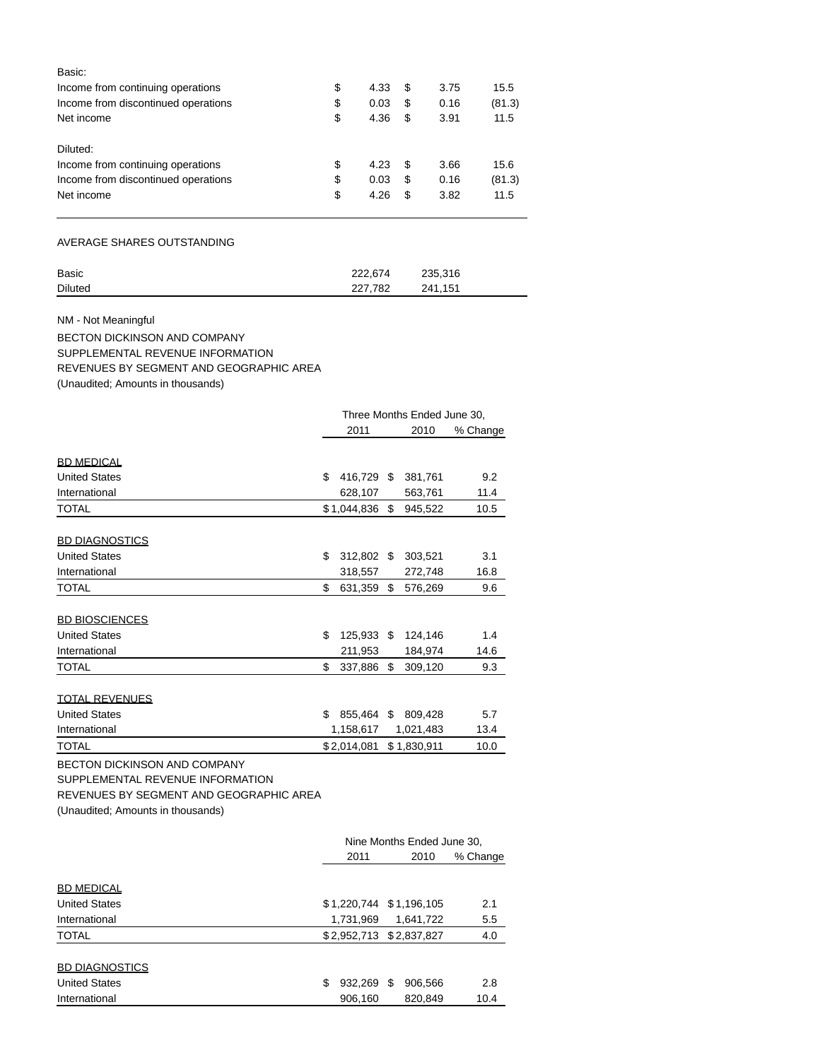| Basic:                              |            |     |      |        |
|-------------------------------------|------------|-----|------|--------|
| Income from continuing operations   | \$<br>4.33 | \$. | 3.75 | 15.5   |
| Income from discontinued operations | \$<br>0.03 | S   | 0.16 | (81.3) |
| Net income                          | \$<br>4.36 | S   | 3.91 | 11.5   |
| Diluted:                            |            |     |      |        |
| Income from continuing operations   | \$<br>4.23 | -36 | 3.66 | 15.6   |
| Income from discontinued operations | \$<br>0.03 | S   | 0.16 | (81.3) |
| Net income                          | \$<br>4.26 | S   | 3.82 | 11.5   |
|                                     |            |     |      |        |

AVERAGE SHARES OUTSTANDING

| Basic          | 222.674 | 235,316 |
|----------------|---------|---------|
| <b>Diluted</b> | 227.782 | 241.151 |

NM - Not Meaningful

BECTON DICKINSON AND COMPANY SUPPLEMENTAL REVENUE INFORMATION REVENUES BY SEGMENT AND GEOGRAPHIC AREA (Unaudited; Amounts in thousands)

|                                         | Three Months Ended June 30, |             |    |                            |          |  |
|-----------------------------------------|-----------------------------|-------------|----|----------------------------|----------|--|
|                                         |                             | 2011        |    | 2010                       | % Change |  |
| <b>BD MEDICAL</b>                       |                             |             |    |                            |          |  |
| <b>United States</b>                    | \$                          | 416.729 \$  |    | 381,761                    | 9.2      |  |
| International                           |                             | 628,107     |    | 563,761                    | 11.4     |  |
| <b>TOTAL</b>                            |                             | \$1,044,836 | \$ | 945,522                    | 10.5     |  |
| <b>BD DIAGNOSTICS</b>                   |                             |             |    |                            |          |  |
| <b>United States</b>                    | \$                          | 312,802 \$  |    | 303,521                    | 3.1      |  |
| International                           |                             | 318,557     |    | 272,748                    | 16.8     |  |
| <b>TOTAL</b>                            | \$                          | 631,359     | \$ | 576,269                    | 9.6      |  |
|                                         |                             |             |    |                            |          |  |
| <b>BD BIOSCIENCES</b>                   |                             |             |    |                            |          |  |
| <b>United States</b>                    | \$                          | 125,933 \$  |    | 124,146                    | 1.4      |  |
| International                           |                             | 211,953     |    | 184,974                    | 14.6     |  |
| <b>TOTAL</b>                            | \$                          | 337,886     | \$ | 309,120                    | 9.3      |  |
| <b>TOTAL REVENUES</b>                   |                             |             |    |                            |          |  |
| <b>United States</b>                    | \$                          | 855,464 \$  |    | 809,428                    | 5.7      |  |
| International                           |                             | 1,158,617   |    | 1,021,483                  | 13.4     |  |
| <b>TOTAL</b>                            |                             | \$2,014,081 |    | \$1,830,911                | 10.0     |  |
| <b>BECTON DICKINSON AND COMPANY</b>     |                             |             |    |                            |          |  |
| SUPPLEMENTAL REVENUE INFORMATION        |                             |             |    |                            |          |  |
| REVENUES BY SEGMENT AND GEOGRAPHIC AREA |                             |             |    |                            |          |  |
| (Unaudited; Amounts in thousands)       |                             |             |    |                            |          |  |
|                                         |                             |             |    | Nine Months Ended June 30, |          |  |
|                                         |                             |             |    |                            |          |  |

|                       | 2011          | 2010                    | % Change |
|-----------------------|---------------|-------------------------|----------|
|                       |               |                         |          |
| <b>BD MEDICAL</b>     |               |                         |          |
| <b>United States</b>  |               | \$1,220,744 \$1,196,105 | 2.1      |
| International         | 1,731,969     | 1.641.722               | 5.5      |
| <b>TOTAL</b>          |               | \$2,952,713 \$2,837,827 | 4.0      |
|                       |               |                         |          |
| <b>BD DIAGNOSTICS</b> |               |                         |          |
| <b>United States</b>  | 932,269<br>\$ | 906,566<br>S            | 2.8      |
| International         | 906,160       | 820,849                 | 10.4     |
|                       |               |                         |          |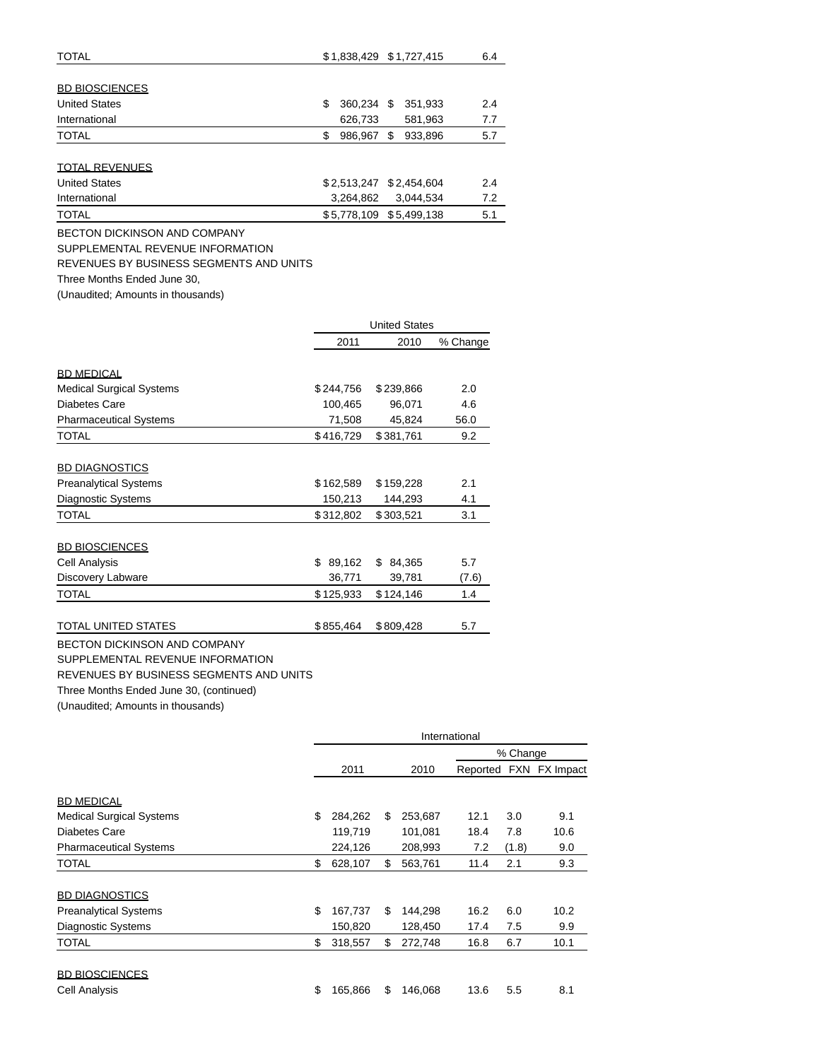| <b>TOTAL</b>          | \$1,838,429 \$1,727,415<br>6.4       |
|-----------------------|--------------------------------------|
| <b>BD BIOSCIENCES</b> |                                      |
| <b>United States</b>  | 360,234 \$<br>351,933<br>2.4<br>\$   |
| International         | 7.7<br>626,733<br>581,963            |
| <b>TOTAL</b>          | 5.7<br>986,967<br>933,896<br>\$<br>S |
| <b>TOTAL REVENUES</b> |                                      |
| <b>United States</b>  | \$2,513,247<br>\$2,454,604<br>2.4    |
| International         | 7.2<br>3,264,862<br>3.044.534        |
| <b>TOTAL</b>          | \$5,778,109 \$5,499,138<br>5.1       |

BECTON DICKINSON AND COMPANY

SUPPLEMENTAL REVENUE INFORMATION

REVENUES BY BUSINESS SEGMENTS AND UNITS

Three Months Ended June 30,

(Unaudited; Amounts in thousands)

|                                 |               | <b>United States</b> |          |  |  |  |
|---------------------------------|---------------|----------------------|----------|--|--|--|
|                                 | 2011          | 2010                 | % Change |  |  |  |
|                                 |               |                      |          |  |  |  |
| <b>BD MEDICAL</b>               |               |                      |          |  |  |  |
| <b>Medical Surgical Systems</b> | \$244,756     | \$239,866            | 2.0      |  |  |  |
| Diabetes Care                   | 100,465       | 96,071               | 4.6      |  |  |  |
| <b>Pharmaceutical Systems</b>   | 71,508        | 45,824               | 56.0     |  |  |  |
| <b>TOTAL</b>                    | \$416,729     | \$381,761            | 9.2      |  |  |  |
| <b>BD DIAGNOSTICS</b>           |               |                      |          |  |  |  |
| <b>Preanalytical Systems</b>    | \$162,589     | \$159,228            | 2.1      |  |  |  |
| <b>Diagnostic Systems</b>       | 150,213       | 144,293              | 4.1      |  |  |  |
| <b>TOTAL</b>                    | \$312,802     | \$303,521            | 3.1      |  |  |  |
| <b>BD BIOSCIENCES</b>           |               |                      |          |  |  |  |
| <b>Cell Analysis</b>            | 89,162<br>\$. | \$<br>84,365         | 5.7      |  |  |  |
| Discovery Labware               | 36,771        | 39,781               | (7.6)    |  |  |  |
| <b>TOTAL</b>                    | \$125,933     | \$124,146            | 1.4      |  |  |  |
|                                 |               |                      |          |  |  |  |
| TOTAL UNITED STATES             | \$855,464     | \$809,428            | 5.7      |  |  |  |

BECTON DICKINSON AND COMPANY SUPPLEMENTAL REVENUE INFORMATION

REVENUES BY BUSINESS SEGMENTS AND UNITS

Three Months Ended June 30, (continued)

(Unaudited; Amounts in thousands)

|                                 | International |         |    |         |      |          |                        |
|---------------------------------|---------------|---------|----|---------|------|----------|------------------------|
|                                 |               |         |    |         |      | % Change |                        |
|                                 |               | 2011    |    | 2010    |      |          | Reported FXN FX Impact |
| <b>BD MEDICAL</b>               |               |         |    |         |      |          |                        |
| <b>Medical Surgical Systems</b> | \$            | 284,262 | \$ | 253,687 | 12.1 | 3.0      | 9.1                    |
| Diabetes Care                   |               | 119,719 |    | 101,081 | 18.4 | 7.8      | 10.6                   |
| <b>Pharmaceutical Systems</b>   |               | 224,126 |    | 208,993 | 7.2  | (1.8)    | 9.0                    |
| <b>TOTAL</b>                    | \$            | 628,107 | \$ | 563,761 | 11.4 | 2.1      | 9.3                    |
| <b>BD DIAGNOSTICS</b>           |               |         |    |         |      |          |                        |
| <b>Preanalytical Systems</b>    | \$            | 167,737 | \$ | 144,298 | 16.2 | 6.0      | 10.2                   |
| Diagnostic Systems              |               | 150,820 |    | 128,450 | 17.4 | 7.5      | 9.9                    |
| <b>TOTAL</b>                    | \$            | 318,557 | \$ | 272,748 | 16.8 | 6.7      | 10.1                   |
| <b>BD BIOSCIENCES</b>           |               |         |    |         |      |          |                        |
| Cell Analysis                   | \$            | 165,866 | \$ | 146,068 | 13.6 | 5.5      | 8.1                    |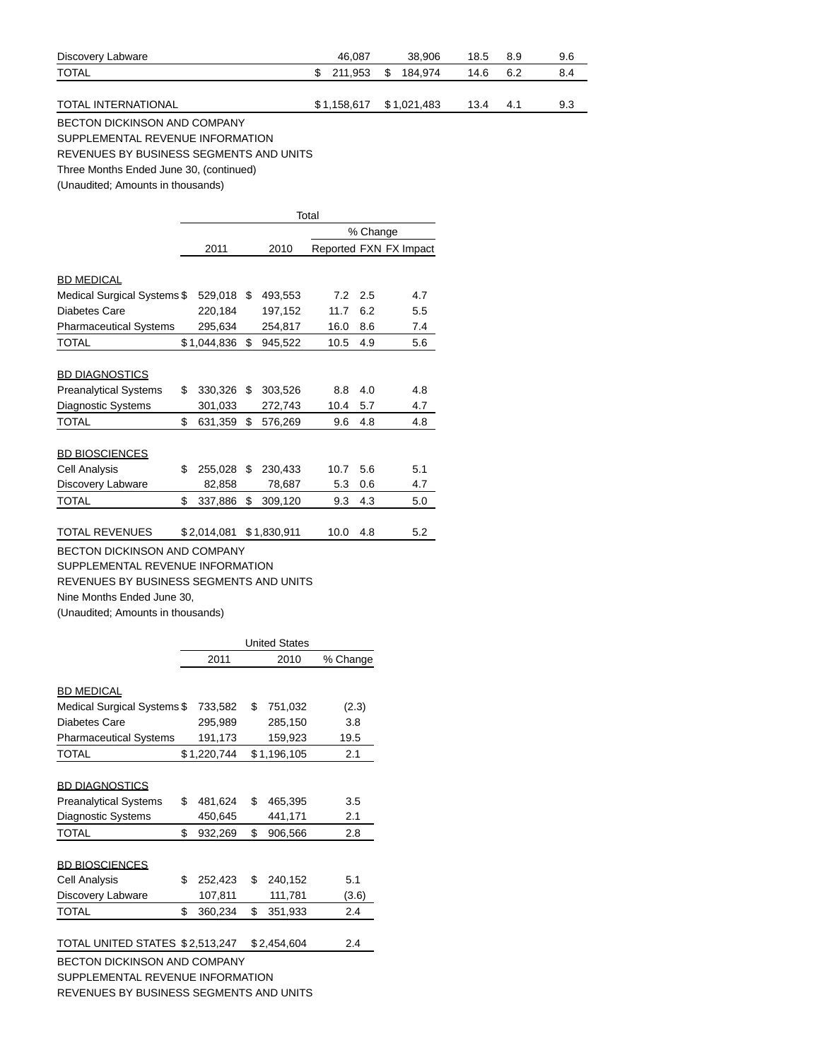| Discovery Labware          | 46.087 | 38,906                  | 18.5     | -8.9 | 9.6 |
|----------------------------|--------|-------------------------|----------|------|-----|
| <b>TOTAL</b>               |        | \$ 211,953 \$ 184,974   | 14.6 6.2 |      | 8.4 |
|                            |        |                         |          |      |     |
| <b>TOTAL INTERNATIONAL</b> |        | \$1,158,617 \$1,021,483 | 13.4     | 4.1  | 9.3 |
|                            |        |                         |          |      |     |

BECTON DICKINSON AND COMPANY

SUPPLEMENTAL REVENUE INFORMATION

REVENUES BY BUSINESS SEGMENTS AND UNITS

Three Months Ended June 30, (continued)

(Unaudited; Amounts in thousands)

|                                     | Total |             |    |             |      |                        |     |  |  |  |
|-------------------------------------|-------|-------------|----|-------------|------|------------------------|-----|--|--|--|
|                                     |       |             |    |             |      | % Change               |     |  |  |  |
|                                     |       | 2011        |    | 2010        |      | Reported FXN FX Impact |     |  |  |  |
|                                     |       |             |    |             |      |                        |     |  |  |  |
| <b>BD MEDICAL</b>                   |       |             |    |             |      |                        |     |  |  |  |
| Medical Surgical Systems \$         |       | 529,018     | \$ | 493,553     | 7.2  | 2.5                    | 4.7 |  |  |  |
| Diabetes Care                       |       | 220,184     |    | 197,152     | 11.7 | 6.2                    | 5.5 |  |  |  |
| <b>Pharmaceutical Systems</b>       |       | 295,634     |    | 254,817     | 16.0 | 8.6                    | 7.4 |  |  |  |
| <b>TOTAL</b>                        |       | \$1,044,836 | \$ | 945,522     | 10.5 | 4.9                    | 5.6 |  |  |  |
|                                     |       |             |    |             |      |                        |     |  |  |  |
| <b>BD DIAGNOSTICS</b>               |       |             |    |             |      |                        |     |  |  |  |
| <b>Preanalytical Systems</b>        | \$    | 330,326     | \$ | 303,526     | 8.8  | 4.0                    | 4.8 |  |  |  |
| Diagnostic Systems                  |       | 301,033     |    | 272,743     | 10.4 | 5.7                    | 4.7 |  |  |  |
| <b>TOTAL</b>                        | \$    | 631,359     | \$ | 576,269     | 9.6  | 4.8                    | 4.8 |  |  |  |
|                                     |       |             |    |             |      |                        |     |  |  |  |
| <b>BD BIOSCIENCES</b>               |       |             |    |             |      |                        |     |  |  |  |
| Cell Analysis                       | \$    | 255,028     | \$ | 230,433     | 10.7 | 5.6                    | 5.1 |  |  |  |
| Discovery Labware                   |       | 82,858      |    | 78,687      | 5.3  | 0.6                    | 4.7 |  |  |  |
| <b>TOTAL</b>                        | \$    | 337,886     | \$ | 309,120     | 9.3  | 4.3                    | 5.0 |  |  |  |
|                                     |       |             |    |             |      |                        |     |  |  |  |
| <b>TOTAL REVENUES</b>               |       | \$2,014,081 |    | \$1,830,911 | 10.0 | 4.8                    | 5.2 |  |  |  |
| <b>BECTON DICKINSON AND COMPANY</b> |       |             |    |             |      |                        |     |  |  |  |
| SUPPLEMENTAL REVENUE INFORMATION    |       |             |    |             |      |                        |     |  |  |  |

REVENUES BY BUSINESS SEGMENTS AND UNITS

Nine Months Ended June 30,

(Unaudited; Amounts in thousands)

|                                         | <b>United States</b> |             |    |             |          |  |  |  |  |  |
|-----------------------------------------|----------------------|-------------|----|-------------|----------|--|--|--|--|--|
|                                         |                      | 2011        |    | 2010        | % Change |  |  |  |  |  |
|                                         |                      |             |    |             |          |  |  |  |  |  |
| <b>BD MEDICAL</b>                       |                      |             |    |             |          |  |  |  |  |  |
| Medical Surgical Systems \$             |                      | 733,582     | \$ | 751,032     | (2.3)    |  |  |  |  |  |
| Diabetes Care                           |                      | 295.989     |    | 285,150     | 3.8      |  |  |  |  |  |
| <b>Pharmaceutical Systems</b>           |                      | 191,173     |    | 159,923     | 19.5     |  |  |  |  |  |
| <b>TOTAL</b>                            |                      | \$1,220,744 |    | \$1,196,105 | 2.1      |  |  |  |  |  |
|                                         |                      |             |    |             |          |  |  |  |  |  |
| <b>BD DIAGNOSTICS</b>                   |                      |             |    |             |          |  |  |  |  |  |
| <b>Preanalytical Systems</b>            | \$                   | 481,624     | \$ | 465,395     | 3.5      |  |  |  |  |  |
| <b>Diagnostic Systems</b>               |                      | 450,645     |    | 441,171     | 2.1      |  |  |  |  |  |
| <b>TOTAL</b>                            | \$                   | 932,269     | \$ | 906,566     | 2.8      |  |  |  |  |  |
|                                         |                      |             |    |             |          |  |  |  |  |  |
| <b>BD BIOSCIENCES</b>                   |                      |             |    |             |          |  |  |  |  |  |
| Cell Analysis                           | \$                   | 252,423     | \$ | 240.152     | 5.1      |  |  |  |  |  |
| Discovery Labware                       |                      | 107,811     |    | 111,781     | (3.6)    |  |  |  |  |  |
| <b>TOTAL</b>                            | \$                   | 360,234     | \$ | 351,933     | 2.4      |  |  |  |  |  |
|                                         |                      |             |    |             |          |  |  |  |  |  |
| TOTAL UNITED STATES \$2,513,247         |                      |             |    | \$2,454,604 | 2.4      |  |  |  |  |  |
| <b>BECTON DICKINSON AND COMPANY</b>     |                      |             |    |             |          |  |  |  |  |  |
| SUPPLEMENTAL REVENUE INFORMATION        |                      |             |    |             |          |  |  |  |  |  |
| REVENUES BY BUSINESS SEGMENTS AND UNITS |                      |             |    |             |          |  |  |  |  |  |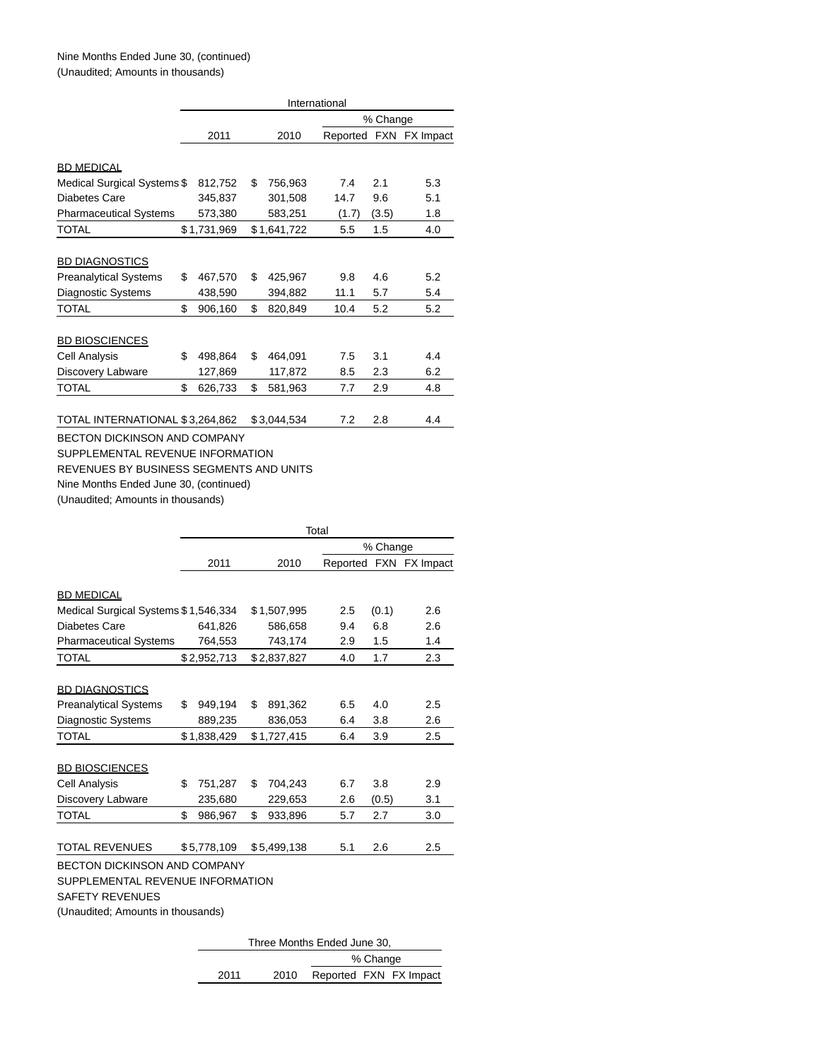|                                         | International |             |    |             |          |          |                        |  |  |  |  |
|-----------------------------------------|---------------|-------------|----|-------------|----------|----------|------------------------|--|--|--|--|
|                                         |               |             |    |             |          | % Change |                        |  |  |  |  |
|                                         |               | 2011        |    | 2010        | Reported |          | FXN FX Impact          |  |  |  |  |
|                                         |               |             |    |             |          |          |                        |  |  |  |  |
| <b>BD MEDICAL</b>                       |               |             |    |             |          |          |                        |  |  |  |  |
| Medical Surgical Systems \$             |               | 812,752     | \$ | 756,963     | 7.4      | 2.1      | 5.3                    |  |  |  |  |
| <b>Diabetes Care</b>                    |               | 345,837     |    | 301,508     | 14.7     | 9.6      | 5.1                    |  |  |  |  |
| <b>Pharmaceutical Systems</b>           |               | 573,380     |    | 583,251     | (1.7)    | (3.5)    | 1.8                    |  |  |  |  |
| <b>TOTAL</b>                            |               | \$1,731,969 |    | \$1,641,722 | 5.5      | 1.5      | 4.0                    |  |  |  |  |
|                                         |               |             |    |             |          |          |                        |  |  |  |  |
| <b>BD DIAGNOSTICS</b>                   |               |             |    |             |          |          |                        |  |  |  |  |
| <b>Preanalytical Systems</b>            | \$            | 467,570     | \$ | 425,967     | 9.8      | 4.6      | 5.2                    |  |  |  |  |
| <b>Diagnostic Systems</b>               |               | 438,590     |    | 394,882     | 11.1     | 5.7      | 5.4                    |  |  |  |  |
| <b>TOTAL</b>                            | \$            | 906,160     | \$ | 820,849     | 10.4     | 5.2      | 5.2                    |  |  |  |  |
|                                         |               |             |    |             |          |          |                        |  |  |  |  |
| <b>BD BIOSCIENCES</b>                   |               |             |    |             |          |          |                        |  |  |  |  |
| Cell Analysis                           | \$            | 498,864     | \$ | 464,091     | 7.5      | 3.1      | 4.4                    |  |  |  |  |
| Discovery Labware                       |               | 127,869     |    | 117,872     | 8.5      | 2.3      | 6.2                    |  |  |  |  |
| <b>TOTAL</b>                            | \$            | 626,733     | \$ | 581,963     | 7.7      | 2.9      | 4.8                    |  |  |  |  |
|                                         |               |             |    |             |          |          |                        |  |  |  |  |
| TOTAL INTERNATIONAL \$3,264,862         |               |             |    | \$3,044,534 | 7.2      | 2.8      | 4.4                    |  |  |  |  |
| <b>BECTON DICKINSON AND COMPANY</b>     |               |             |    |             |          |          |                        |  |  |  |  |
| SUPPLEMENTAL REVENUE INFORMATION        |               |             |    |             |          |          |                        |  |  |  |  |
| REVENUES BY BUSINESS SEGMENTS AND UNITS |               |             |    |             |          |          |                        |  |  |  |  |
| Nine Months Ended June 30, (continued)  |               |             |    |             |          |          |                        |  |  |  |  |
| (Unaudited; Amounts in thousands)       |               |             |    |             |          |          |                        |  |  |  |  |
|                                         |               |             |    |             |          |          |                        |  |  |  |  |
|                                         |               |             |    |             | Total    |          |                        |  |  |  |  |
|                                         |               |             |    |             |          | % Change |                        |  |  |  |  |
|                                         |               | 2011        |    | 2010        |          |          | Reported FXN FX Impact |  |  |  |  |

| <b>BD MEDICAL</b>                    |                                                                         |             |    |             |  |     |       |  |     |  |  |
|--------------------------------------|-------------------------------------------------------------------------|-------------|----|-------------|--|-----|-------|--|-----|--|--|
| Medical Surgical Systems \$1,546,334 |                                                                         |             |    | \$1,507,995 |  | 2.5 | (0.1) |  | 2.6 |  |  |
| Diabetes Care                        |                                                                         | 641,826     |    | 586,658     |  | 9.4 | 6.8   |  | 2.6 |  |  |
| <b>Pharmaceutical Systems</b>        |                                                                         | 764,553     |    | 743,174     |  | 2.9 | 1.5   |  | 1.4 |  |  |
| <b>TOTAL</b>                         |                                                                         | \$2,952,713 |    | \$2,837,827 |  | 4.0 | 1.7   |  | 2.3 |  |  |
| <b>BD DIAGNOSTICS</b>                |                                                                         |             |    |             |  |     |       |  |     |  |  |
| <b>Preanalytical Systems</b>         | \$                                                                      | 949,194     | \$ | 891,362     |  | 6.5 | 4.0   |  | 2.5 |  |  |
| Diagnostic Systems                   |                                                                         | 889,235     |    | 836,053     |  | 6.4 | 3.8   |  | 2.6 |  |  |
| <b>TOTAL</b>                         |                                                                         | \$1,838,429 |    | \$1,727,415 |  | 6.4 | 3.9   |  | 2.5 |  |  |
| <b>BD BIOSCIENCES</b>                |                                                                         |             |    |             |  |     |       |  |     |  |  |
| Cell Analysis                        | \$                                                                      | 751,287     | \$ | 704,243     |  | 6.7 | 3.8   |  | 2.9 |  |  |
| Discovery Labware                    |                                                                         | 235,680     |    | 229,653     |  | 2.6 | (0.5) |  | 3.1 |  |  |
| <b>TOTAL</b>                         | \$                                                                      | 986,967     | \$ | 933,896     |  | 5.7 | 2.7   |  | 3.0 |  |  |
| <b>TOTAL REVENUES</b>                |                                                                         | \$5,778,109 |    | \$5,499,138 |  | 5.1 | 2.6   |  | 2.5 |  |  |
| <b>SAFETY REVENUES</b>               | <b>BECTON DICKINSON AND COMPANY</b><br>SUPPLEMENTAL REVENUE INFORMATION |             |    |             |  |     |       |  |     |  |  |
|                                      | (Unaudited; Amounts in thousands)                                       |             |    |             |  |     |       |  |     |  |  |

| Three Months Ended June 30, |      |  |  |                        |  |  |  |  |  |  |
|-----------------------------|------|--|--|------------------------|--|--|--|--|--|--|
| % Change                    |      |  |  |                        |  |  |  |  |  |  |
| 2011                        | 2010 |  |  | Reported FXN FX Impact |  |  |  |  |  |  |
|                             |      |  |  |                        |  |  |  |  |  |  |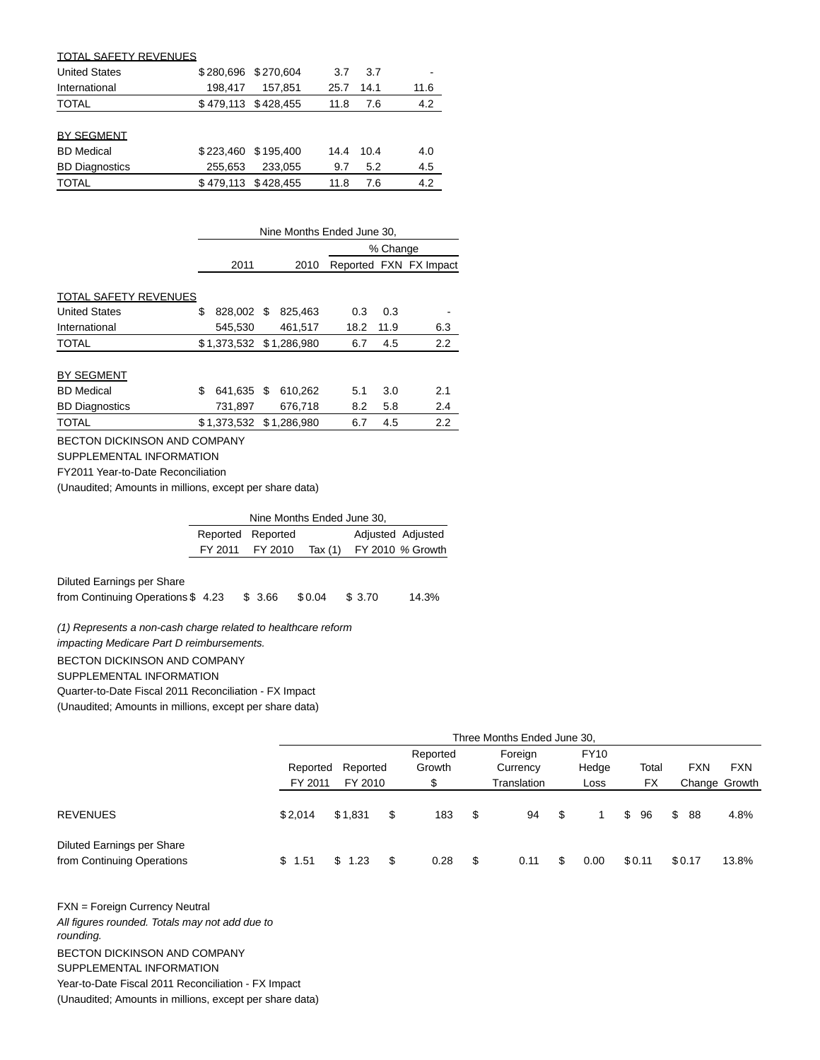| <b>TOTAL SAFETY REVENUES</b> |           |                     |      |      |      |
|------------------------------|-----------|---------------------|------|------|------|
| <b>United States</b>         | \$280.696 | \$270,604           | 3.7  | 3.7  |      |
| International                | 198.417   | 157.851             | 25.7 | 14.1 | 11.6 |
| <b>TOTAL</b>                 |           | \$479,113 \$428,455 | 11.8 | 7.6  | 4.2  |
|                              |           |                     |      |      |      |
| <b>BY SEGMENT</b>            |           |                     |      |      |      |
| <b>BD</b> Medical            |           | \$223,460 \$195,400 | 14.4 | 10.4 | 4.0  |
| <b>BD Diagnostics</b>        | 255,653   | 233.055             | 9.7  | 5.2  | 4.5  |
| <b>TOTAL</b>                 |           | \$479,113 \$428,455 | 11.8 | 7.6  | 4.2  |

|                       | Nine Months Ended June 30, |                         |  |         |      |          |                        |  |  |  |  |
|-----------------------|----------------------------|-------------------------|--|---------|------|----------|------------------------|--|--|--|--|
|                       |                            |                         |  |         |      | % Change |                        |  |  |  |  |
|                       |                            | 2011                    |  | 2010    |      |          | Reported FXN FX Impact |  |  |  |  |
|                       |                            |                         |  |         |      |          |                        |  |  |  |  |
| TOTAL SAFETY REVENUES |                            |                         |  |         |      |          |                        |  |  |  |  |
| <b>United States</b>  | S                          | 828.002 \$              |  | 825,463 | 0.3  | 0.3      |                        |  |  |  |  |
| International         |                            | 545,530                 |  | 461,517 | 18.2 | 11.9     | 6.3                    |  |  |  |  |
| <b>TOTAL</b>          |                            | \$1,373,532 \$1,286,980 |  |         | 6.7  | 4.5      | 2.2                    |  |  |  |  |
|                       |                            |                         |  |         |      |          |                        |  |  |  |  |
| <b>BY SEGMENT</b>     |                            |                         |  |         |      |          |                        |  |  |  |  |
| <b>BD</b> Medical     | S                          | 641.635 \$              |  | 610.262 | 5.1  | 3.0      | 2.1                    |  |  |  |  |
| <b>BD</b> Diagnostics |                            | 731,897                 |  | 676,718 | 8.2  | 5.8      | 2.4                    |  |  |  |  |
| <b>TOTAL</b>          |                            | \$1,373,532 \$1,286,980 |  |         | 6.7  | 4.5      | 2.2                    |  |  |  |  |
|                       |                            |                         |  |         |      |          |                        |  |  |  |  |

BECTON DICKINSON AND COMPANY

SUPPLEMENTAL INFORMATION

FY2011 Year-to-Date Reconciliation

(Unaudited; Amounts in millions, except per share data)

| Nine Months Ended June 30, |                   |         |  |                   |  |  |  |  |  |  |
|----------------------------|-------------------|---------|--|-------------------|--|--|--|--|--|--|
|                            | Reported Reported |         |  | Adjusted Adjusted |  |  |  |  |  |  |
|                            | FY 2011 FY 2010   | Tax (1) |  | FY 2010 % Growth  |  |  |  |  |  |  |

Diluted Earnings per Share

from Continuing Operations \$ 4.23 \$ 3.66 \$ 0.04 \$ 3.70 14.3%

(1) Represents a non-cash charge related to healthcare reform impacting Medicare Part D reimbursements. BECTON DICKINSON AND COMPANY SUPPLEMENTAL INFORMATION Quarter-to-Date Fiscal 2011 Reconciliation - FX Impact

(Unaudited; Amounts in millions, except per share data)

|                                                          | Three Months Ended June 30,                |         |                          |      |                                    |                              |    |      |              |        |            |                             |       |
|----------------------------------------------------------|--------------------------------------------|---------|--------------------------|------|------------------------------------|------------------------------|----|------|--------------|--------|------------|-----------------------------|-------|
|                                                          | Reported<br>Reported<br>FY 2011<br>FY 2010 |         | Reported<br>Growth<br>\$ |      | Foreign<br>Currency<br>Translation | <b>FY10</b><br>Hedge<br>Loss |    |      | Total<br>FX. |        | <b>FXN</b> | <b>FXN</b><br>Change Growth |       |
| <b>REVENUES</b>                                          | \$2.014                                    | \$1,831 | \$                       | 183  | \$                                 | 94                           | \$ |      | \$           | 96     | \$         | 88                          | 4.8%  |
| Diluted Earnings per Share<br>from Continuing Operations | \$1.51                                     | \$1.23  | \$                       | 0.28 | \$                                 | 0.11                         | S  | 0.00 |              | \$0.11 |            | \$0.17                      | 13.8% |

FXN = Foreign Currency Neutral All figures rounded. Totals may not add due to rounding. BECTON DICKINSON AND COMPANY SUPPLEMENTAL INFORMATION Year-to-Date Fiscal 2011 Reconciliation - FX Impact (Unaudited; Amounts in millions, except per share data)